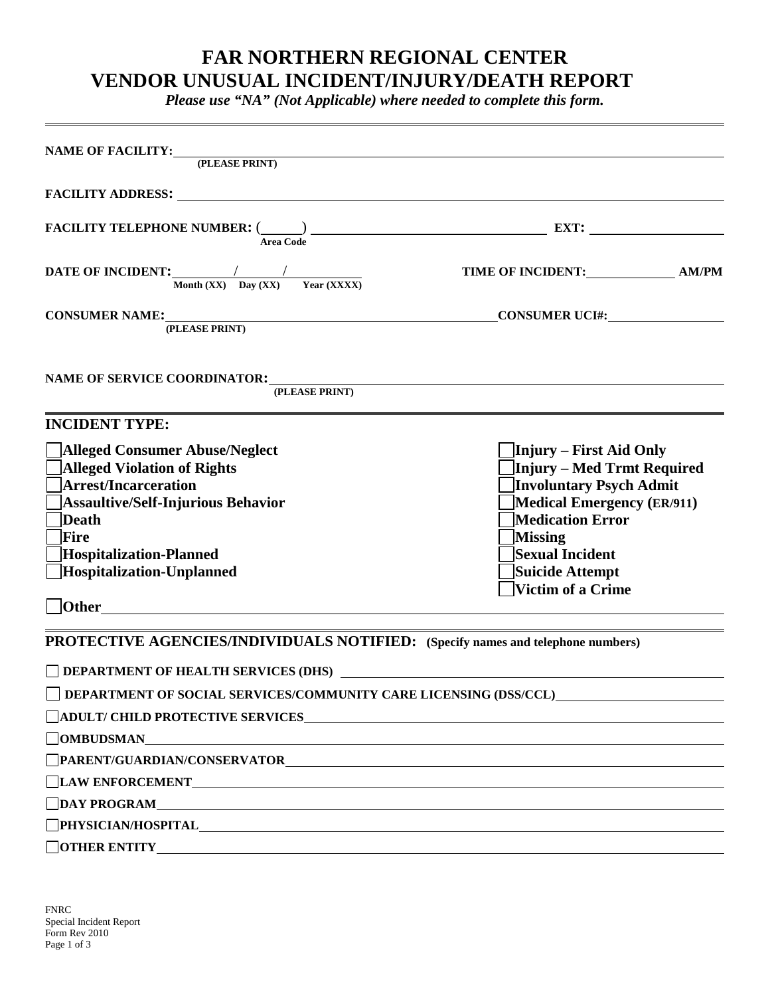## **FAR NORTHERN REGIONAL CENTER VENDOR UNUSUAL INCIDENT/INJURY/DEATH REPORT**

*Please use "NA" (Not Applicable) where needed to complete this form.*

| NAME OF FACILITY: (PLEASE PRINT)                                                                                                                                                                                                                                                                                                                                                              |                                                                                                                                                                                                          |
|-----------------------------------------------------------------------------------------------------------------------------------------------------------------------------------------------------------------------------------------------------------------------------------------------------------------------------------------------------------------------------------------------|----------------------------------------------------------------------------------------------------------------------------------------------------------------------------------------------------------|
|                                                                                                                                                                                                                                                                                                                                                                                               |                                                                                                                                                                                                          |
| FACILITY TELEPHONE NUMBER: $\frac{1}{\text{Area Code}}$                                                                                                                                                                                                                                                                                                                                       |                                                                                                                                                                                                          |
| DATE OF INCIDENT: $\frac{1}{\text{Month (XX)} - \text{Day (XX)} - \text{Year (XXX)}}$                                                                                                                                                                                                                                                                                                         | TIME OF INCIDENT: AM/PM                                                                                                                                                                                  |
| CONSUMER NAME:<br>CONSUMER UCI#:                                                                                                                                                                                                                                                                                                                                                              |                                                                                                                                                                                                          |
| NAME OF SERVICE COORDINATOR:<br>(PLEASE PRINT)                                                                                                                                                                                                                                                                                                                                                |                                                                                                                                                                                                          |
| <b>INCIDENT TYPE:</b>                                                                                                                                                                                                                                                                                                                                                                         |                                                                                                                                                                                                          |
| Alleged Consumer Abuse/Neglect<br><b>Alleged Violation of Rights</b><br><b>Arrest/Incarceration</b><br>Assaultive/Self-Injurious Behavior<br>Death<br>Fire<br><b>Hospitalization-Planned</b><br>Hospitalization-Unplanned                                                                                                                                                                     | Injury – First Aid Only<br>Injury – Med Trmt Required<br>Involuntary Psych Admit<br>Medical Emergency (ER/911)<br>Medication Error<br>Missing<br>Sexual Incident<br>Suicide Attempt<br>Victim of a Crime |
| PROTECTIVE AGENCIES/INDIVIDUALS NOTIFIED: (Specify names and telephone numbers)                                                                                                                                                                                                                                                                                                               |                                                                                                                                                                                                          |
| DEPARTMENT OF SOCIAL SERVICES/COMMUNITY CARE LICENSING (DSS/CCL)                                                                                                                                                                                                                                                                                                                              |                                                                                                                                                                                                          |
| □ ADULT/ CHILD PROTECTIVE SERVICES<br>$\fbox{\parbox{1.5cm}{} \begin{picture}(10,10) \put(0,0){\dashbox{0.5}(10,0){10}} \put(10,0){\dashbox{0.5}(10,0){10}} \put(10,0){\dashbox{0.5}(10,0){10}} \put(10,0){\dashbox{0.5}(10,0){10}} \put(10,0){\dashbox{0.5}(10,0){10}} \put(10,0){\dashbox{0.5}(10,0){10}} \put(10,0){\dashbox{0.5}(10,0){10}} \put(10,0){\dashbox{0.5}(10,0){10}} \put(10,$ |                                                                                                                                                                                                          |
|                                                                                                                                                                                                                                                                                                                                                                                               |                                                                                                                                                                                                          |
|                                                                                                                                                                                                                                                                                                                                                                                               |                                                                                                                                                                                                          |
| $\Box$ DAY PROGRAM<br><u> 1989 - Johann Stoff, deutscher Stoff, der Stoff, der Stoff, der Stoff, der Stoff, der Stoff, der Stoff, der S</u>                                                                                                                                                                                                                                                   |                                                                                                                                                                                                          |
| PHYSICIAN/HOSPITAL PHYSICIAN/HOSPITAL                                                                                                                                                                                                                                                                                                                                                         |                                                                                                                                                                                                          |
|                                                                                                                                                                                                                                                                                                                                                                                               |                                                                                                                                                                                                          |

FNRC Special Incident Report Form Rev 2010 Page 1 of 3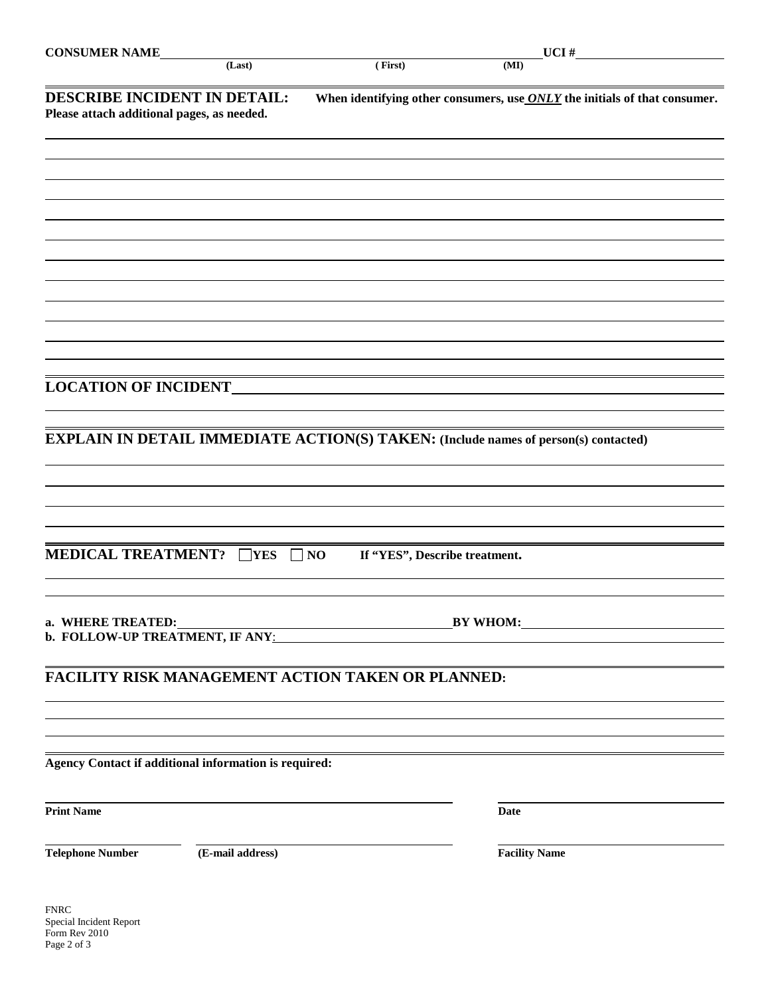| <b>CONSUMER NAME</b>                                                              | (Last)           | (First)                                           | _UCI #<br>(MI)                                                                             |
|-----------------------------------------------------------------------------------|------------------|---------------------------------------------------|--------------------------------------------------------------------------------------------|
| <b>DESCRIBE INCIDENT IN DETAIL:</b><br>Please attach additional pages, as needed. |                  |                                                   | When identifying other consumers, use $ONLY$ the initials of that consumer.                |
|                                                                                   |                  |                                                   |                                                                                            |
|                                                                                   |                  |                                                   |                                                                                            |
|                                                                                   |                  |                                                   |                                                                                            |
|                                                                                   |                  |                                                   |                                                                                            |
| <b>LOCATION OF INCIDENT_</b>                                                      |                  |                                                   |                                                                                            |
|                                                                                   |                  |                                                   | <b>EXPLAIN IN DETAIL IMMEDIATE ACTION(S) TAKEN: (Include names of person(s) contacted)</b> |
|                                                                                   |                  |                                                   |                                                                                            |
|                                                                                   |                  |                                                   |                                                                                            |
| <b>MEDICAL TREATMENT?</b> $\Box$ YES                                              |                  | $\Box$ NO<br>If "YES", Describe treatment.        |                                                                                            |
|                                                                                   |                  |                                                   |                                                                                            |
|                                                                                   |                  | FACILITY RISK MANAGEMENT ACTION TAKEN OR PLANNED: |                                                                                            |
| <b>Agency Contact if additional information is required:</b>                      |                  |                                                   |                                                                                            |
| <b>Print Name</b>                                                                 |                  |                                                   | Date                                                                                       |
| <b>Telephone Number</b>                                                           | (E-mail address) |                                                   | <b>Facility Name</b>                                                                       |
| <b>FNRC</b><br>Special Incident Report                                            |                  |                                                   |                                                                                            |

Form Rev 2010 Page 2 of 3